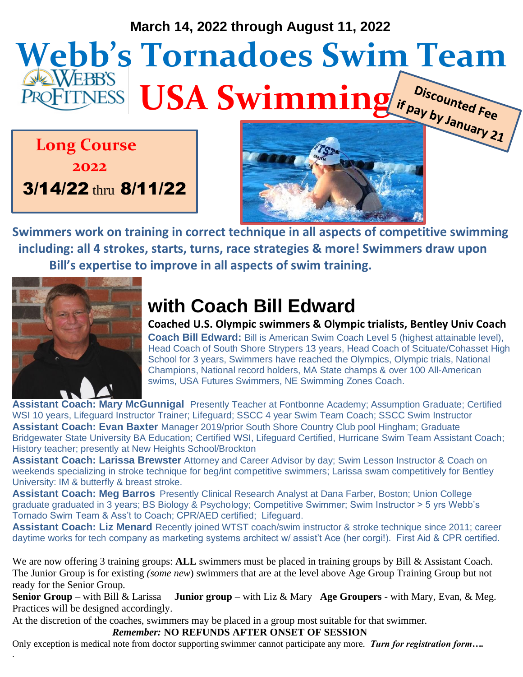#### **March 14, 2022 through August 11, 2022**

# **Webb's Tornadoes Swim Team USA Swimming** *is use of the USA Swimming if pay by January 21*

 **Long Course** 

 **2022**

3/14/22 thru 8/11/22



**Swimmers work on training in correct technique in all aspects of competitive swimming including: all 4 strokes, starts, turns, race strategies & more! Swimmers draw upon Bill's expertise to improve in all aspects of swim training.** 



## **with Coach Bill Edward**

**Coached U.S. Olympic swimmers & Olympic trialists, Bentley Univ Coach Coach Bill Edward:** Bill is American Swim Coach Level 5 (highest attainable level), Head Coach of South Shore Strypers 13 years, Head Coach of Scituate/Cohasset High School for 3 years, Swimmers have reached the Olympics, Olympic trials, National Champions, National record holders, MA State champs & over 100 All-American swims, USA Futures Swimmers, NE Swimming Zones Coach.

**Assistant Coach: Mary McGunnigal** Presently Teacher at Fontbonne Academy; Assumption Graduate; Certified WSI 10 years, Lifeguard Instructor Trainer; Lifeguard; SSCC 4 year Swim Team Coach; SSCC Swim Instructor **Assistant Coach: Evan Baxter** Manager 2019/prior South Shore Country Club pool Hingham; Graduate Bridgewater State University BA Education; Certified WSI, Lifeguard Certified, Hurricane Swim Team Assistant Coach; History teacher; presently at New Heights School/Brockton

**Assistant Coach: Larissa Brewster** Attorney and Career Advisor by day; Swim Lesson Instructor & Coach on weekends specializing in stroke technique for beg/int competitive swimmers; Larissa swam competitively for Bentley University: IM & butterfly & breast stroke.

**Assistant Coach: Meg Barros** Presently Clinical Research Analyst at Dana Farber, Boston; Union College graduate graduated in 3 years; BS Biology & Psychology; Competitive Swimmer; Swim Instructor > 5 yrs Webb's Tornado Swim Team & Ass't to Coach; CPR/AED certified; Lifeguard.

**Assistant Coach: Liz Menard** Recently joined WTST coach/swim instructor & stroke technique since 2011; career daytime works for tech company as marketing systems architect w/ assist't Ace (her corgi!). First Aid & CPR certified.

We are now offering 3 training groups: **ALL** swimmers must be placed in training groups by Bill & Assistant Coach. The Junior Group is for existing *(some new*) swimmers that are at the level above Age Group Training Group but not ready for the Senior Group.

**Senior Group** – with Bill & Larissa **Junior group** – with Liz & Mary **Age Groupers** - with Mary, Evan, & Meg. Practices will be designed accordingly.

At the discretion of the coaches, swimmers may be placed in a group most suitable for that swimmer.

 *Remember:* **NO REFUNDS AFTER ONSET OF SESSION**

Only exception is medical note from doctor supporting swimmer cannot participate any more. *Turn for registration form….*  .